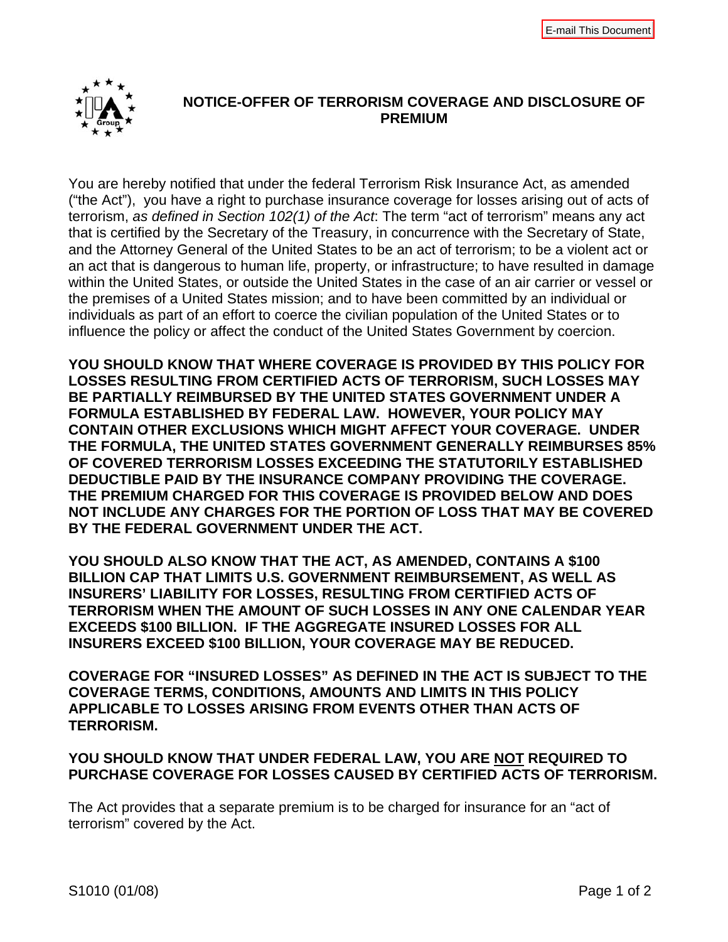

## **NOTICE-OFFER OF TERRORISM COVERAGE AND DISCLOSURE OF PREMIUM**

You are hereby notified that under the federal Terrorism Risk Insurance Act, as amended ("the Act"), you have a right to purchase insurance coverage for losses arising out of acts of terrorism, *as defined in Section 102(1) of the Act*: The term "act of terrorism" means any act that is certified by the Secretary of the Treasury, in concurrence with the Secretary of State, and the Attorney General of the United States to be an act of terrorism; to be a violent act or an act that is dangerous to human life, property, or infrastructure; to have resulted in damage within the United States, or outside the United States in the case of an air carrier or vessel or the premises of a United States mission; and to have been committed by an individual or individuals as part of an effort to coerce the civilian population of the United States or to influence the policy or affect the conduct of the United States Government by coercion.

**YOU SHOULD KNOW THAT WHERE COVERAGE IS PROVIDED BY THIS POLICY FOR LOSSES RESULTING FROM CERTIFIED ACTS OF TERRORISM, SUCH LOSSES MAY BE PARTIALLY REIMBURSED BY THE UNITED STATES GOVERNMENT UNDER A FORMULA ESTABLISHED BY FEDERAL LAW. HOWEVER, YOUR POLICY MAY CONTAIN OTHER EXCLUSIONS WHICH MIGHT AFFECT YOUR COVERAGE. UNDER THE FORMULA, THE UNITED STATES GOVERNMENT GENERALLY REIMBURSES 85% OF COVERED TERRORISM LOSSES EXCEEDING THE STATUTORILY ESTABLISHED DEDUCTIBLE PAID BY THE INSURANCE COMPANY PROVIDING THE COVERAGE. THE PREMIUM CHARGED FOR THIS COVERAGE IS PROVIDED BELOW AND DOES NOT INCLUDE ANY CHARGES FOR THE PORTION OF LOSS THAT MAY BE COVERED BY THE FEDERAL GOVERNMENT UNDER THE ACT.** 

**YOU SHOULD ALSO KNOW THAT THE ACT, AS AMENDED, CONTAINS A \$100 BILLION CAP THAT LIMITS U.S. GOVERNMENT REIMBURSEMENT, AS WELL AS INSURERS' LIABILITY FOR LOSSES, RESULTING FROM CERTIFIED ACTS OF TERRORISM WHEN THE AMOUNT OF SUCH LOSSES IN ANY ONE CALENDAR YEAR EXCEEDS \$100 BILLION. IF THE AGGREGATE INSURED LOSSES FOR ALL INSURERS EXCEED \$100 BILLION, YOUR COVERAGE MAY BE REDUCED.** 

**COVERAGE FOR "INSURED LOSSES" AS DEFINED IN THE ACT IS SUBJECT TO THE COVERAGE TERMS, CONDITIONS, AMOUNTS AND LIMITS IN THIS POLICY APPLICABLE TO LOSSES ARISING FROM EVENTS OTHER THAN ACTS OF TERRORISM.** 

## **YOU SHOULD KNOW THAT UNDER FEDERAL LAW, YOU ARE NOT REQUIRED TO PURCHASE COVERAGE FOR LOSSES CAUSED BY CERTIFIED ACTS OF TERRORISM.**

The Act provides that a separate premium is to be charged for insurance for an "act of terrorism" covered by the Act.